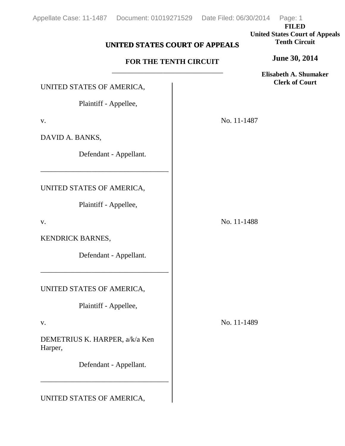**FILED United States Court of Appeals Tenth Circuit**

### **UNITED STATES COURT OF APPEALS**

#### **FOR THE TENTH CIRCUIT** \_\_\_\_\_\_\_\_\_\_\_\_\_\_\_\_\_\_\_\_\_\_\_\_\_\_\_\_\_\_\_\_\_

**Elisabeth A. Shumaker Clerk of Court**

**June 30, 2014**

# UNITED STATES OF AMERICA,

Plaintiff - Appellee,

v.

DAVID A. BANKS,

Defendant - Appellant.

UNITED STATES OF AMERICA,

Plaintiff - Appellee,

–––––––––––––––––––––––––––––––––––

v.

KENDRICK BARNES,

Defendant - Appellant.

UNITED STATES OF AMERICA,

Plaintiff - Appellee,

–––––––––––––––––––––––––––––––––––

#### v.

DEMETRIUS K. HARPER, a/k/a Ken Harper,

Defendant - Appellant.

–––––––––––––––––––––––––––––––––––

## UNITED STATES OF AMERICA,

No. 11-1487

No. 11-1488

No. 11-1489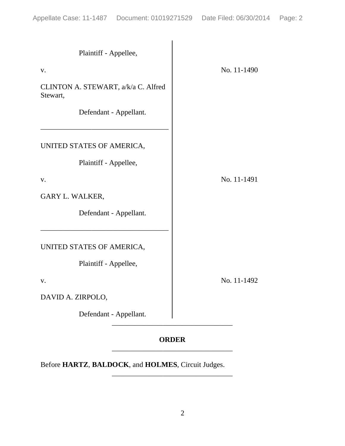| Plaintiff - Appellee,                           |             |
|-------------------------------------------------|-------------|
| V.                                              | No. 11-1490 |
| CLINTON A. STEWART, a/k/a C. Alfred<br>Stewart, |             |
| Defendant - Appellant.                          |             |
| UNITED STATES OF AMERICA,                       |             |
| Plaintiff - Appellee,                           |             |
| V.                                              | No. 11-1491 |
| GARY L. WALKER,                                 |             |
| Defendant - Appellant.                          |             |
| UNITED STATES OF AMERICA,                       |             |
| Plaintiff - Appellee,                           |             |
| V.                                              | No. 11-1492 |
| DAVID A. ZIRPOLO,                               |             |
| Defendant - Appellant.                          |             |

#### **ORDER** \_\_\_\_\_\_\_\_\_\_\_\_\_\_\_\_\_\_\_\_\_\_\_\_\_\_\_\_\_\_\_\_\_

\_\_\_\_\_\_\_\_\_\_\_\_\_\_\_\_\_\_\_\_\_\_\_\_\_\_\_\_\_\_\_\_\_

Before **HARTZ**, **BALDOCK**, and **HOLMES**, Circuit Judges.